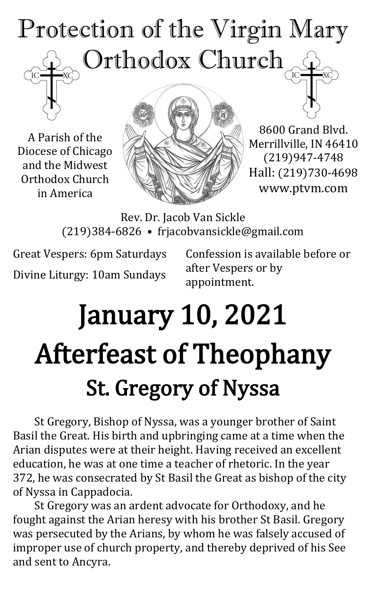# Protection of the Virgin Mary Orthodox Church

A Parish of the Diocese of Chicago and the Midwest Orthodox Church in America



8600 Grand Blvd. Merrillville, IN 46410 (219)947-4748 Hall: (219)730-4698 www.ptvm.com

Rev. Dr. Jacob Van Sickle (219)384-6826 • frjacobvansickle@gmail.com

Great Vespers: 6pm Saturdays Divine Liturgy: 10am Sundays Confession is available before or after Vespers or by appointment.

# January 10, 2021 Afterfeast of Theophany St. Gregory of Nyssa

St Gregory, Bishop of Nyssa, was a younger brother of Saint Basil the Great. His birth and upbringing came at a time when the Arian disputes were at their height. Having received an excellent education, he was at one time a teacher of rhetoric. In the year 372, he was consecrated by St Basil the Great as bishop of the city of Nyssa in Cappadocia.

St Gregory was an ardent advocate for Orthodoxy, and he fought against the Arian heresy with his brother St Basil. Gregory was persecuted by the Arians, by whom he was falsely accused of improper use of church property, and thereby deprived of his See and sent to Ancyra.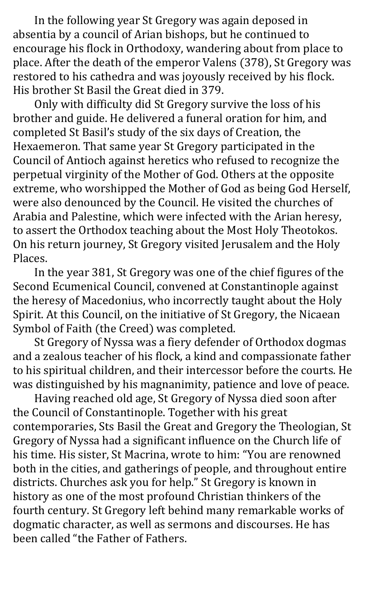In the following year St Gregory was again deposed in absentia by a council of Arian bishops, but he continued to encourage his flock in Orthodoxy, wandering about from place to place. After the death of the emperor Valens (378), St Gregory was restored to his cathedra and was joyously received by his flock. His brother St Basil the Great died in 379.

Only with difficulty did St Gregory survive the loss of his brother and guide. He delivered a funeral oration for him, and completed St Basil's study of the six days of Creation, the Hexaemeron. That same year St Gregory participated in the Council of Antioch against heretics who refused to recognize the perpetual virginity of the Mother of God. Others at the opposite extreme, who worshipped the Mother of God as being God Herself, were also denounced by the Council. He visited the churches of Arabia and Palestine, which were infected with the Arian heresy, to assert the Orthodox teaching about the Most Holy Theotokos. On his return journey, St Gregory visited Jerusalem and the Holy Places.

In the year 381, St Gregory was one of the chief figures of the Second Ecumenical Council, convened at Constantinople against the heresy of Macedonius, who incorrectly taught about the Holy Spirit. At this Council, on the initiative of St Gregory, the Nicaean Symbol of Faith (the Creed) was completed.

St Gregory of Nyssa was a fiery defender of Orthodox dogmas and a zealous teacher of his flock, a kind and compassionate father to his spiritual children, and their intercessor before the courts. He was distinguished by his magnanimity, patience and love of peace.

Having reached old age, St Gregory of Nyssa died soon after the Council of Constantinople. Together with his great contemporaries, Sts Basil the Great and Gregory the Theologian, St Gregory of Nyssa had a significant influence on the Church life of his time. His sister, St Macrina, wrote to him: "You are renowned both in the cities, and gatherings of people, and throughout entire districts. Churches ask you for help." St Gregory is known in history as one of the most profound Christian thinkers of the fourth century. St Gregory left behind many remarkable works of dogmatic character, as well as sermons and discourses. He has been called "the Father of Fathers.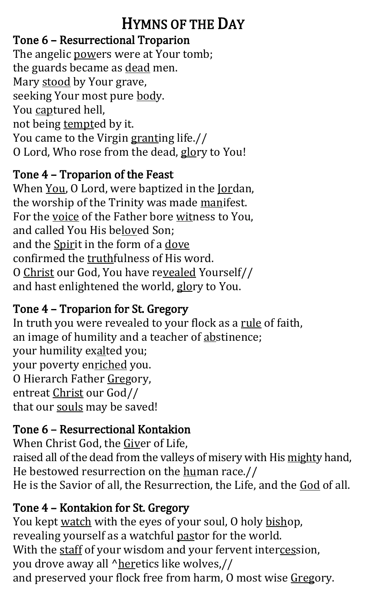#### HYMNS OF THE DAY

#### Tone 6 – Resurrectional Troparion

The angelic powers were at Your tomb; the guards became as dead men. Mary stood by Your grave, seeking Your most pure body. You captured hell, not being tempted by it. You came to the Virgin granting life.// O Lord, Who rose from the dead, glory to You!

#### Tone 4 – Troparion of the Feast

When You, O Lord, were baptized in the Jordan, the worship of the Trinity was made manifest. For the voice of the Father bore witness to You, and called You His beloved Son; and the Spirit in the form of a dove confirmed the truthfulness of His word. O Christ our God, You have revealed Yourself// and hast enlightened the world, glory to You.

#### Tone 4 – Troparion for St. Gregory

In truth you were revealed to your flock as a rule of faith, an image of humility and a teacher of abstinence; your humility exalted you; your poverty enriched you. O Hierarch Father Gregory, entreat Christ our God// that our souls may be saved!

#### Tone 6 – Resurrectional Kontakion

When Christ God, the Giver of Life, raised all of the dead from the valleys of misery with His mighty hand, He bestowed resurrection on the human race.// He is the Savior of all, the Resurrection, the Life, and the God of all.

#### Tone 4 – Kontakion for St. Gregory

You kept watch with the eyes of your soul, O holy bishop, revealing yourself as a watchful pastor for the world. With the staff of your wisdom and your fervent intercession, you drove away all ^heretics like wolves,// and preserved your flock free from harm, O most wise Gregory.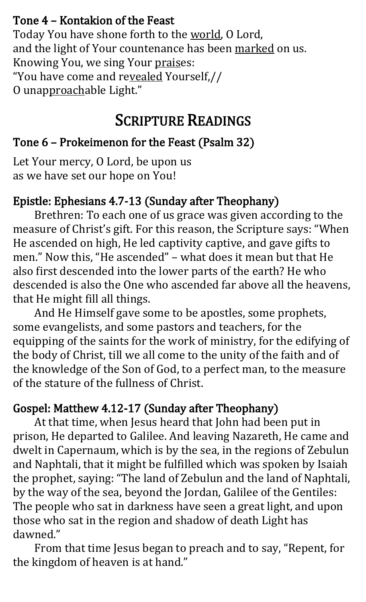#### Tone 4 – Kontakion of the Feast

Today You have shone forth to the world, O Lord, and the light of Your countenance has been marked on us. Knowing You, we sing Your praises: "You have come and revealed Yourself,// O unapproachable Light."

#### SCRIPTURE READINGS

#### Tone 6 – Prokeimenon for the Feast (Psalm 32)

Let Your mercy, O Lord, be upon us as we have set our hope on You!

#### Epistle: Ephesians 4.7-13 (Sunday after Theophany)

Brethren: To each one of us grace was given according to the measure of Christ's gift. For this reason, the Scripture says: "When He ascended on high, He led captivity captive, and gave gifts to men." Now this, "He ascended" – what does it mean but that He also first descended into the lower parts of the earth? He who descended is also the One who ascended far above all the heavens, that He might fill all things.

And He Himself gave some to be apostles, some prophets, some evangelists, and some pastors and teachers, for the equipping of the saints for the work of ministry, for the edifying of the body of Christ, till we all come to the unity of the faith and of the knowledge of the Son of God, to a perfect man, to the measure of the stature of the fullness of Christ.

#### Gospel: Matthew 4.12-17 (Sunday after Theophany)

At that time, when Jesus heard that John had been put in prison, He departed to Galilee. And leaving Nazareth, He came and dwelt in Capernaum, which is by the sea, in the regions of Zebulun and Naphtali, that it might be fulfilled which was spoken by Isaiah the prophet, saying: "The land of Zebulun and the land of Naphtali, by the way of the sea, beyond the Jordan, Galilee of the Gentiles: The people who sat in darkness have seen a great light, and upon those who sat in the region and shadow of death Light has dawned."

From that time Jesus began to preach and to say, "Repent, for the kingdom of heaven is at hand."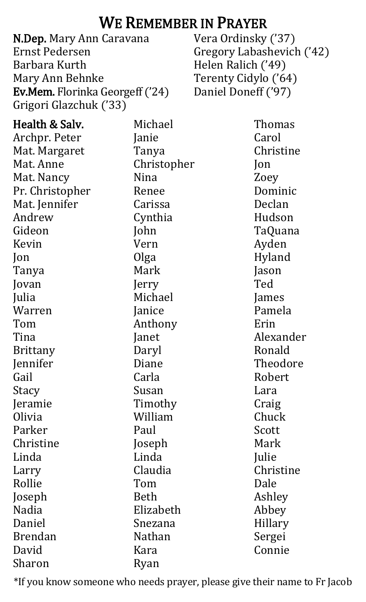#### WE REMEMBER IN PRAYER

N.Dep. Mary Ann Caravana Ernst Pedersen Barbara Kurth Mary Ann Behnke Ev.Mem. Florinka Georgeff ('24) Grigori Glazchuk ('33)

Vera Ordinsky ('37) Gregory Labashevich ('42) Helen Ralich ('49) Terenty Cidylo ('64) Daniel Doneff ('97)

| Health & Salv.  | Michael     | Thomas    |
|-----------------|-------------|-----------|
| Archpr. Peter   | Janie       | Carol     |
| Mat. Margaret   | Tanya       | Christine |
| Mat. Anne       | Christopher | Jon       |
| Mat. Nancy      | Nina        | Zoey      |
| Pr. Christopher | Renee       | Dominic   |
| Mat. Jennifer   | Carissa     | Declan    |
| Andrew          | Cynthia     | Hudson    |
| Gideon          | John        | TaQuana   |
| Kevin           | Vern        | Ayden     |
| Jon             | Olga        | Hyland    |
| Tanya           | Mark        | Jason     |
| Jovan           | Jerry       | Ted       |
| Julia           | Michael     | James     |
| Warren          | Janice      | Pamela    |
| Tom             | Anthony     | Erin      |
| Tina            | Janet       | Alexander |
| <b>Brittany</b> | Daryl       | Ronald    |
| Jennifer        | Diane       | Theodore  |
| Gail            | Carla       | Robert    |
| Stacy           | Susan       | Lara      |
| Jeramie         | Timothy     | Craig     |
| Olivia          | William     | Chuck     |
| Parker          | Paul        | Scott     |
| Christine       | Joseph      | Mark      |
| Linda           | Linda       | Julie     |
| Larry           | Claudia     | Christine |
| Rollie          | Tom         | Dale      |
| Joseph          | Beth        | Ashley    |
| Nadia           | Elizabeth   | Abbey     |
| Daniel          | Snezana     | Hillary   |
| <b>Brendan</b>  | Nathan      | Sergei    |
| David           | Kara        | Connie    |
| Sharon          | Ryan        |           |

\*If you know someone who needs prayer, please give their name to Fr Jacob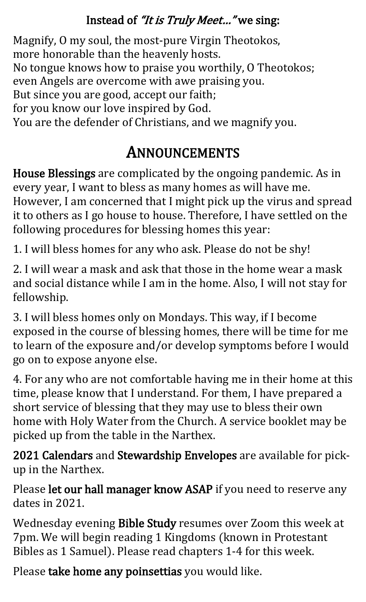#### Instead of "It is Truly Meet..." we sing:

Magnify, O my soul, the most-pure Virgin Theotokos, more honorable than the heavenly hosts. No tongue knows how to praise you worthily, O Theotokos; even Angels are overcome with awe praising you. But since you are good, accept our faith; for you know our love inspired by God. You are the defender of Christians, and we magnify you.

#### ANNOUNCEMENTS

House Blessings are complicated by the ongoing pandemic. As in every year, I want to bless as many homes as will have me. However, I am concerned that I might pick up the virus and spread it to others as I go house to house. Therefore, I have settled on the following procedures for blessing homes this year:

1. I will bless homes for any who ask. Please do not be shy!

2. I will wear a mask and ask that those in the home wear a mask and social distance while I am in the home. Also, I will not stay for fellowship.

3. I will bless homes only on Mondays. This way, if I become exposed in the course of blessing homes, there will be time for me to learn of the exposure and/or develop symptoms before I would go on to expose anyone else.

4. For any who are not comfortable having me in their home at this time, please know that I understand. For them, I have prepared a short service of blessing that they may use to bless their own home with Holy Water from the Church. A service booklet may be picked up from the table in the Narthex.

2021 Calendars and Stewardship Envelopes are available for pickup in the Narthex.

Please let our hall manager know ASAP if you need to reserve any dates in 2021.

Wednesday evening Bible Study resumes over Zoom this week at 7pm. We will begin reading 1 Kingdoms (known in Protestant Bibles as 1 Samuel). Please read chapters 1-4 for this week.

Please take home any poinsettias you would like.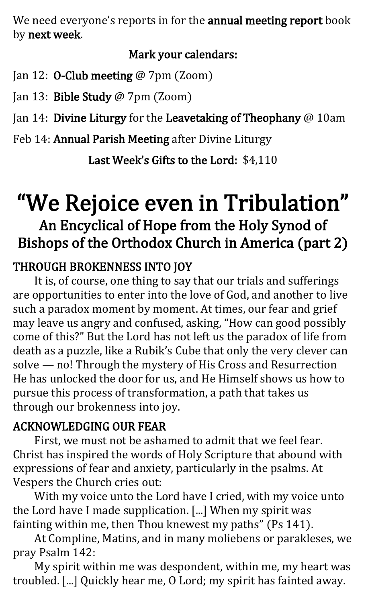We need everyone's reports in for the annual meeting report book by next week.

#### Mark your calendars:

Jan 12: **O-Club meeting @** 7pm (Zoom)

Jan 13: Bible Study @ 7pm (Zoom)

Jan 14: Divine Liturgy for the Leavetaking of Theophany @ 10am

Feb 14: Annual Parish Meeting after Divine Liturgy

Last Week's Gifts to the Lord: \$4,110

### "We Rejoice even in Tribulation"

#### An Encyclical of Hope from the Holy Synod of Bishops of the Orthodox Church in America (part 2)

#### THROUGH BROKENNESS INTO JOY

It is, of course, one thing to say that our trials and sufferings are opportunities to enter into the love of God, and another to live such a paradox moment by moment. At times, our fear and grief may leave us angry and confused, asking, "How can good possibly come of this?" But the Lord has not left us the paradox of life from death as a puzzle, like a Rubik's Cube that only the very clever can solve — no! Through the mystery of His Cross and Resurrection He has unlocked the door for us, and He Himself shows us how to pursue this process of transformation, a path that takes us through our brokenness into joy.

#### ACKNOWLEDGING OUR FEAR

First, we must not be ashamed to admit that we feel fear. Christ has inspired the words of Holy Scripture that abound with expressions of fear and anxiety, particularly in the psalms. At Vespers the Church cries out:

With my voice unto the Lord have I cried, with my voice unto the Lord have I made supplication. [...] When my spirit was fainting within me, then Thou knewest my paths" (Ps 141).

At Compline, Matins, and in many moliebens or parakleses, we pray Psalm 142:

My spirit within me was despondent, within me, my heart was troubled. [...] Quickly hear me, O Lord; my spirit has fainted away.